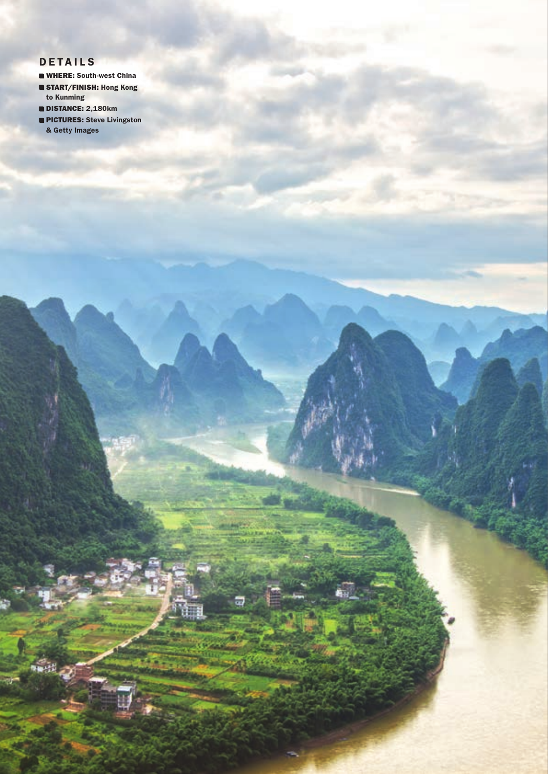## **DETAILS**

- **WHERE: South-west China START/FINISH: Hong Kong** to Kunming
- DISTANCE: 2,180km
- **PICTURES: Steve Livingston** & Getty Images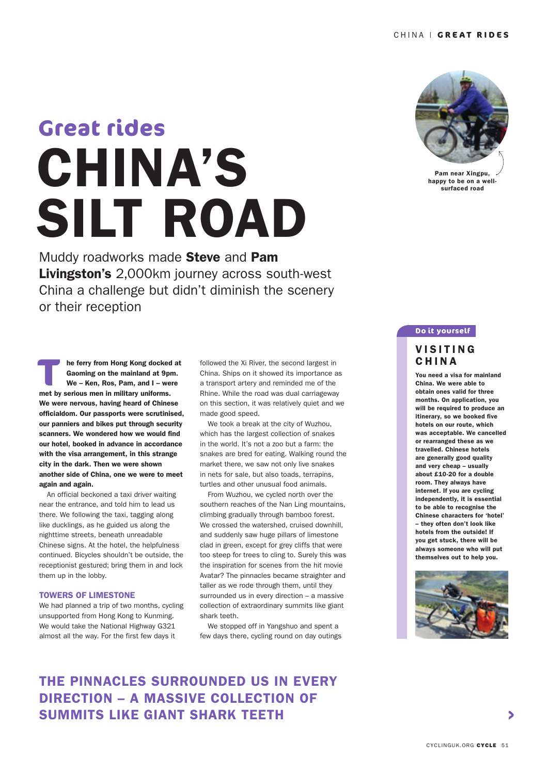# CHINA'S SILT ROAD **Great rides**

Muddy roadworks made Steve and Pam Livingston's 2,000km journey across south-west China a challenge but didn't diminish the scenery or their reception

**THE MET SHOW THE STARK SHOWSING CONTROVER THE STARK WE - Ken, Ros, Pam, and I - well met by serious men in military uniforms.** 

We were nervous, having heard of Chinese officialdom. Our passports were scrutinised, our panniers and bikes put through security scanners. We wondered how we would find our hotel, booked in advance in accordance with the visa arrangement, in this strange city in the dark. Then we were shown another side of China, one we were to meet

 An official beckoned a taxi driver waiting near the entrance, and told him to lead us there. We following the taxi, tagging along like ducklings, as he guided us along the nighttime streets, beneath unreadable Chinese signs. At the hotel, the helpfulness continued. Bicycles shouldn't be outside, the receptionist gestured; bring them in and lock

We had planned a trip of two months, cycling unsupported from Hong Kong to Kunming. We would take the National Highway G321 almost all the way. For the first few days it

again and again.

them up in the lobby.

TOWERS OF LIMESTONE

he ferry from Hong Kong docked at Gaoming on the mainland at 9pm. We – Ken, Ros, Pam, and I – were



Pam near Xingpu, happy to be on a wellsurfaced road

### **Do it yourself**

## **VISITING** CHINA

You need a visa for mainland China. We were able to obtain ones valid for three months. On application, you will be required to produce an itinerary, so we booked five hotels on our route, which was acceptable. We cancelled or rearranged these as we travelled. Chinese hotels are generally good quality and very cheap – usually about £10-20 for a double room. They always have internet. If you are cycling independently, it is essential to be able to recognise the Chinese characters for 'hotel' – they often don't look like hotels from the outside! If you get stuck, there will be always someone who will put themselves out to help you.



# THE PINNACLES SURROUNDED US IN EVERY DIRECTION – A MASSIVE COLLECTION OF SUMMITS LIKE GIANT SHARK TEETH

followed the Xi River, the second largest in China. Ships on it showed its importance as a transport artery and reminded me of the Rhine. While the road was dual carriageway on this section, it was relatively quiet and we made good speed.

 We took a break at the city of Wuzhou, which has the largest collection of snakes in the world. It's not a zoo but a farm: the snakes are bred for eating. Walking round the market there, we saw not only live snakes in nets for sale, but also toads, terrapins, turtles and other unusual food animals.

 From Wuzhou, we cycled north over the southern reaches of the Nan Ling mountains, climbing gradually through bamboo forest. We crossed the watershed, cruised downhill, and suddenly saw huge pillars of limestone clad in green, except for grey cliffs that were too steep for trees to cling to. Surely this was the inspiration for scenes from the hit movie Avatar? The pinnacles became straighter and taller as we rode through them, until they surrounded us in every direction – a massive collection of extraordinary summits like giant shark teeth.

 We stopped off in Yangshuo and spent a few days there, cycling round on day outings

CYCLINGUK.ORG CYCLE 51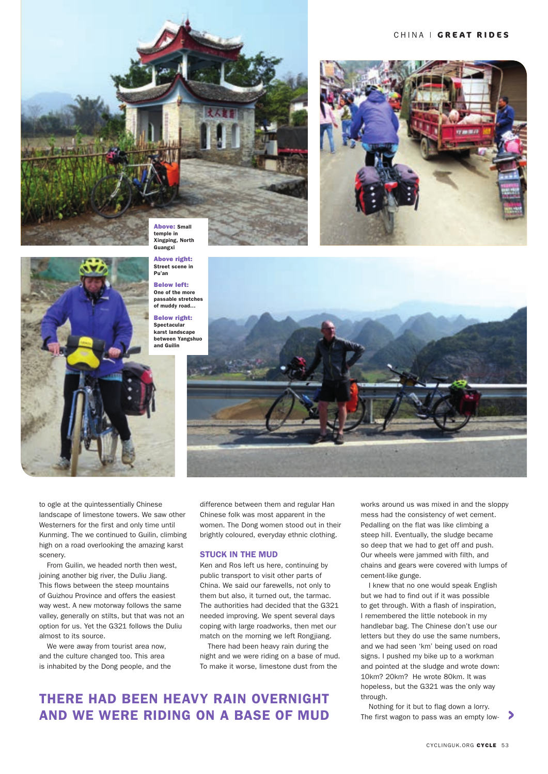#### CHINA | **GREAT RIDES**





Above right: Street scene in Pu'an Below left: One of the more passable stretches of muddy road…

Below right: **Spectacular** karst landscape between Yangshuo and Guilin



to ogle at the quintessentially Chinese landscape of limestone towers. We saw other Westerners for the first and only time until Kunming. The we continued to Guilin, climbing high on a road overlooking the amazing karst scenery.

From Guilin, we headed north then west, joining another big river, the Duliu Jiang. This flows between the steep mountains of Guizhou Province and offers the easiest way west. A new motorway follows the same valley, generally on stilts, but that was not an option for us. Yet the G321 follows the Duliu almost to its source.

We were away from tourist area now. and the culture changed too. This area is inhabited by the Dong people, and the

difference between them and regular Han Chinese folk was most apparent in the women. The Dong women stood out in their brightly coloured, everyday ethnic clothing.

#### STUCK IN THE MUD

Ken and Ros left us here, continuing by public transport to visit other parts of China. We said our farewells, not only to them but also, it turned out, the tarmac. The authorities had decided that the G321 needed improving. We spent several days coping with large roadworks, then met our match on the morning we left Rongjiang.

There had been heavy rain during the night and we were riding on a base of mud. To make it worse, limestone dust from the

# THERE HAD BEEN HEAVY RAIN OVERNIGHT AND WE WERE RIDING ON A BASE OF MUD

works around us was mixed in and the sloppy mess had the consistency of wet cement. Pedalling on the flat was like climbing a steep hill. Eventually, the sludge became so deep that we had to get off and push. Our wheels were jammed with filth, and chains and gears were covered with lumps of cement-like gunge.

I knew that no one would speak English but we had to find out if it was possible to get through. With a flash of inspiration, I remembered the little notebook in my handlebar bag. The Chinese don't use our letters but they do use the same numbers, and we had seen 'km' being used on road signs. I pushed my bike up to a workman and pointed at the sludge and wrote down: 10km? 20km? He wrote 80km. It was hopeless, but the G321 was the only way through.

Nothing for it but to flag down a lorry. The first wagon to pass was an empty low-